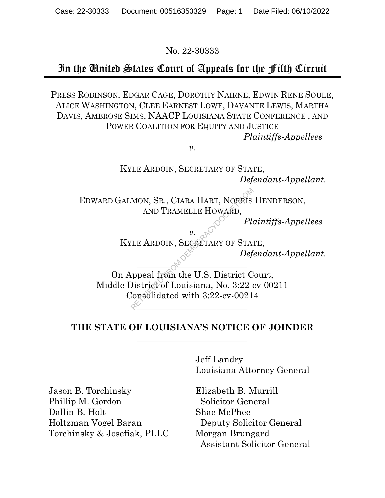No. 22-30333

## In the United States Court of Appeals for the Fifth Circuit

PRESS ROBINSON, EDGAR CAGE, DOROTHY NAIRNE, EDWIN RENE SOULE, ALICE WASHINGTON, CLEE EARNEST LOWE, DAVANTE LEWIS, MARTHA DAVIS, AMBROSE SIMS, NAACP LOUISIANA STATE CONFERENCE , AND POWER COALITION FOR EQUITY AND JUSTICE *Plaintiffs-Appellees* 

*v.* 

KYLE ARDOIN, SECRETARY OF STATE, *Defendant-Appellant.* 

EDWARD GALMON, SR., CIARA HART, NORRIS HENDERSON, AND TRAMELLE HOWARD,

*Plaintiffs-Appellees* 

*v.*  KYLE ARDOIN, SECRETARY OF STATE,

 $\sim$ 

*Defendant-Appellant.* 

On Appeal from the U.S. District Court, Middle District of Louisiana, No. 3:22-cv-00211 Consolidated with 3:22-cv-00214  $\frac{\sqrt{2}}{2}$ MON, SR., CIARA HART, NORRIS<br>
AND TRAMELLE HOWARD,<br>  $v.$  COMPORE TARY OF STATE Defined from the U.S. District Consolidated with 3:22-cv-0021

## **THE STATE OF LOUISIANA'S NOTICE OF JOINDER**   $\frac{1}{2}$  , where  $\frac{1}{2}$  , where  $\frac{1}{2}$  , where  $\frac{1}{2}$  , where  $\frac{1}{2}$  ,  $\frac{1}{2}$

Jeff Landry Louisiana Attorney General

Jason B. Torchinsky Phillip M. Gordon Dallin B. Holt Holtzman Vogel Baran Torchinsky & Josefiak, PLLC

Elizabeth B. Murrill Solicitor General Shae McPhee Deputy Solicitor General Morgan Brungard Assistant Solicitor General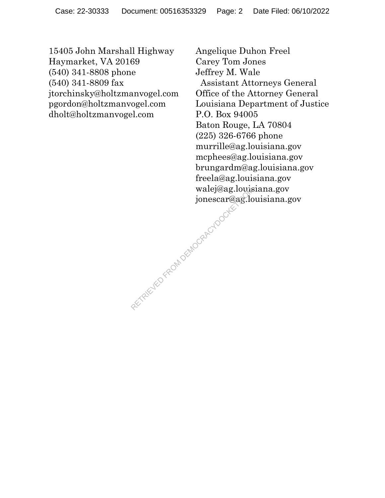15405 John Marshall Highway Haymarket, VA 20169 (540) 341-8808 phone (540) 341-8809 fax jtorchinsky@holtzmanvogel.com pgordon@holtzmanvogel.com dholt@holtzmanvogel.com

Angelique Duhon Freel Carey Tom Jones Jeffrey M. Wale Assistant Attorneys General Office of the Attorney General Louisiana Department of Justice P.O. Box 94005 Baton Rouge, LA 70804 (225) 326-6766 phone murrille@ag.louisiana.gov mcphees@ag.louisiana.gov brungardm@ag.louisiana.gov freela@ag.louisiana.gov walej@ag.louisiana.gov jonescar@ag.louisiana.gov Arena Arena DEMOCRACYDOCKET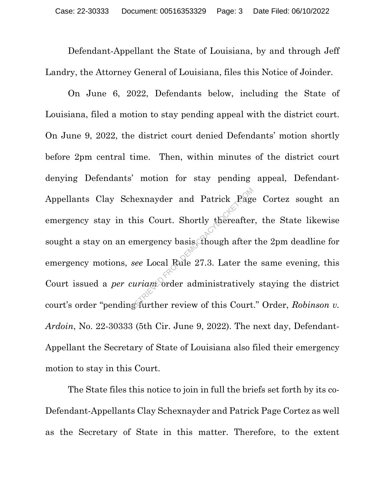Defendant-Appellant the State of Louisiana, by and through Jeff Landry, the Attorney General of Louisiana, files this Notice of Joinder.

 On June 6, 2022, Defendants below, including the State of Louisiana, filed a motion to stay pending appeal with the district court. On June 9, 2022, the district court denied Defendants' motion shortly before 2pm central time. Then, within minutes of the district court denying Defendants' motion for stay pending appeal, Defendant-Appellants Clay Schexnayder and Patrick Page Cortez sought an emergency stay in this Court. Shortly thereafter, the State likewise sought a stay on an emergency basis, though after the 2pm deadline for emergency motions, *see* Local Rule 27.3. Later the same evening, this Court issued a *per curiam* order administratively staying the district court's order "pending further review of this Court." Order, *Robinson v. Ardoin*, No. 22-30333 (5th Cir. June 9, 2022). The next day, Defendant-Appellant the Secretary of State of Louisiana also filed their emergency motion to stay in this Court. hexnayder and Patrick Page<br>this Court. Shortly thereafter<br>emergency basis though after<br>see Local Rule 27.3. Later the<br>curriam order administratively<br>g-further review of this Court

The State files this notice to join in full the briefs set forth by its co-Defendant-Appellants Clay Schexnayder and Patrick Page Cortez as well as the Secretary of State in this matter. Therefore, to the extent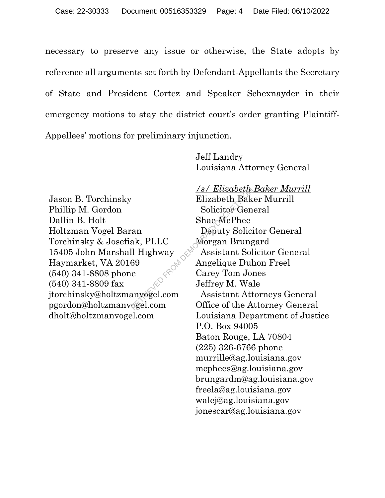necessary to preserve any issue or otherwise, the State adopts by reference all arguments set forth by Defendant-Appellants the Secretary of State and President Cortez and Speaker Schexnayder in their emergency motions to stay the district court's order granting Plaintiff-Appellees' motions for preliminary injunction.

> Jeff Landry Louisiana Attorney General

Jason B. Torchinsky Phillip M. Gordon Dallin B. Holt Holtzman Vogel Baran Torchinsky & Josefiak, PLLC 15405 John Marshall Highway Haymarket, VA 20169 (540) 341-8808 phone (540) 341-8809 fax jtorchinsky@holtzmanvogel.com pgordon@holtzmanvogel.com dholt@holtzmanvogel.com D FROM DEL

*/s/ Elizabeth Baker Murrill*  Elizabeth Baker Murrill Solicitor General Shae McPhee Deputy Solicitor General Morgan Brungard Assistant Solicitor General Angelique Duhon Freel Carey Tom Jones Jeffrey M. Wale Assistant Attorneys General Office of the Attorney General Louisiana Department of Justice P.O. Box 94005 Baton Rouge, LA 70804 (225) 326-6766 phone murrille@ag.louisiana.gov mcphees@ag.louisiana.gov brungardm@ag.louisiana.gov freela@ag.louisiana.gov walej@ag.louisiana.gov jonescar@ag.louisiana.gov